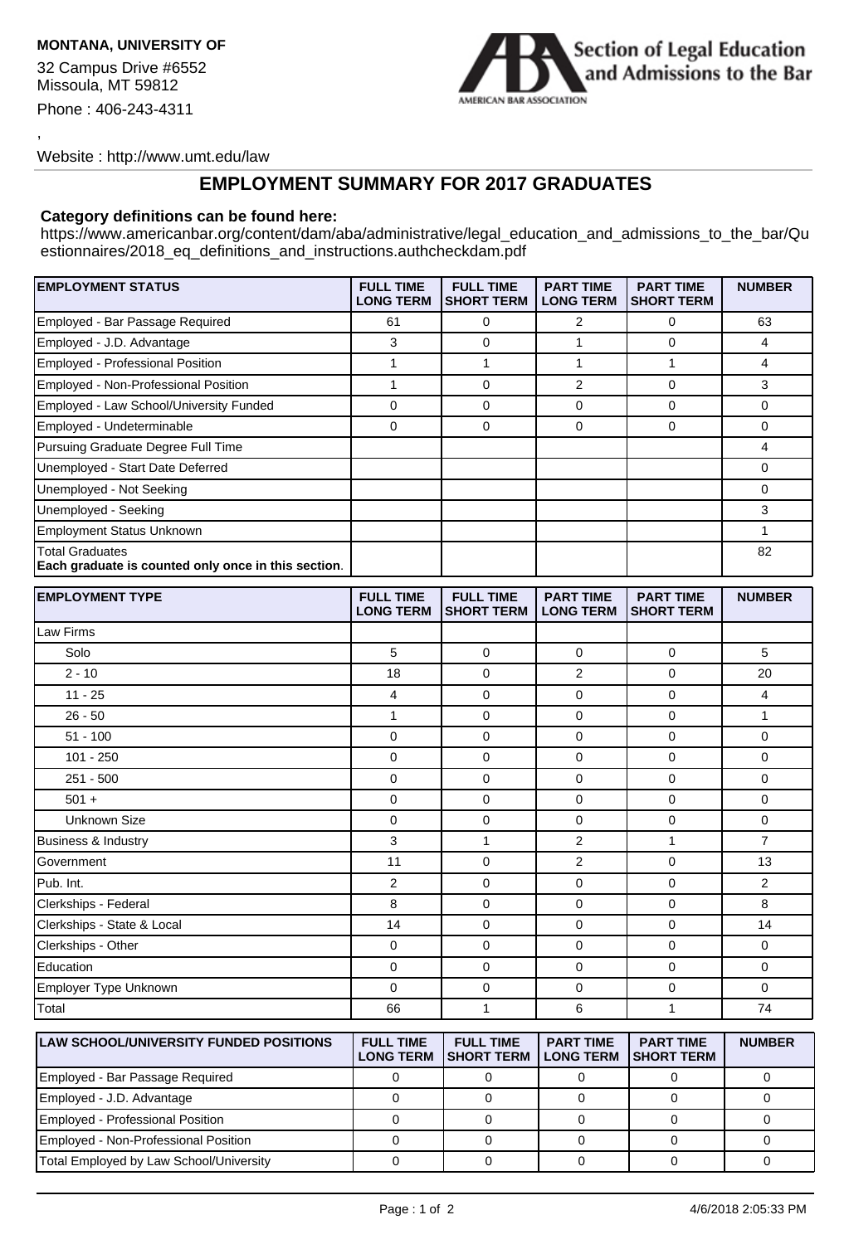## **MONTANA, UNIVERSITY OF**

32 Campus Drive #6552 Missoula, MT 59812 Phone : 406-243-4311

,



Website : http://www.umt.edu/law

## **EMPLOYMENT SUMMARY FOR 2017 GRADUATES**

## **Category definitions can be found here:**

https://www.americanbar.org/content/dam/aba/administrative/legal\_education\_and\_admissions\_to\_the\_bar/Qu estionnaires/2018\_eq\_definitions\_and\_instructions.authcheckdam.pdf

| <b>EMPLOYMENT STATUS</b>                                                      | <b>FULL TIME</b><br><b>LONG TERM</b> | <b>FULL TIME</b><br><b>SHORT TERM</b>      | <b>PART TIME</b><br><b>LONG TERM</b> | <b>PART TIME</b><br><b>SHORT TERM</b> | <b>NUMBER</b>  |
|-------------------------------------------------------------------------------|--------------------------------------|--------------------------------------------|--------------------------------------|---------------------------------------|----------------|
| Employed - Bar Passage Required                                               | 61                                   | 0                                          | $\overline{2}$                       | 0                                     | 63             |
| Employed - J.D. Advantage                                                     | 3                                    | 0                                          | $\mathbf{1}$                         | 0                                     | 4              |
| Employed - Professional Position                                              | $\mathbf{1}$                         | 1                                          | $\mathbf{1}$                         | $\mathbf{1}$                          | 4              |
| Employed - Non-Professional Position                                          | $\mathbf{1}$                         | 0                                          | $\overline{2}$                       | 0                                     | 3              |
| Employed - Law School/University Funded                                       | 0                                    | 0                                          | $\mathbf 0$                          | 0                                     | 0              |
| Employed - Undeterminable                                                     | 0                                    | 0                                          | $\mathbf 0$                          | $\Omega$                              | 0              |
| Pursuing Graduate Degree Full Time                                            |                                      |                                            |                                      |                                       | 4              |
| Unemployed - Start Date Deferred                                              |                                      |                                            |                                      |                                       | 0              |
| Unemployed - Not Seeking                                                      |                                      |                                            |                                      |                                       | 0              |
| Unemployed - Seeking                                                          |                                      |                                            |                                      |                                       | 3              |
| <b>Employment Status Unknown</b>                                              |                                      |                                            |                                      |                                       | 1              |
| <b>Total Graduates</b><br>Each graduate is counted only once in this section. |                                      |                                            |                                      |                                       | 82             |
| <b>EMPLOYMENT TYPE</b>                                                        | <b>FULL TIME</b><br><b>LONG TERM</b> | <b>FULL TIME</b><br><b>SHORT TERM</b>      | <b>PART TIME</b><br><b>LONG TERM</b> | <b>PART TIME</b><br><b>SHORT TERM</b> | <b>NUMBER</b>  |
| Law Firms                                                                     |                                      |                                            |                                      |                                       |                |
| Solo                                                                          | 5                                    | 0                                          | $\mathbf 0$                          | 0                                     | 5              |
| $2 - 10$                                                                      | 18                                   | 0                                          | $\overline{2}$                       | 0                                     | 20             |
| $11 - 25$                                                                     | $\overline{4}$                       | 0                                          | $\mathbf 0$                          | 0                                     | 4              |
| $26 - 50$                                                                     | $\mathbf{1}$                         | 0                                          | 0                                    | 0                                     | $\mathbf{1}$   |
| $51 - 100$                                                                    | 0                                    | 0                                          | $\mathbf 0$                          | 0                                     | 0              |
| $101 - 250$                                                                   | 0                                    | 0                                          | 0                                    | 0                                     | 0              |
| $251 - 500$                                                                   | 0                                    | 0                                          | $\mathbf 0$                          | 0                                     | 0              |
| $501 +$                                                                       | 0                                    | 0                                          | 0                                    | 0                                     | 0              |
| <b>Unknown Size</b>                                                           | 0                                    | 0                                          | $\mathbf 0$                          | 0                                     | 0              |
| <b>Business &amp; Industry</b>                                                | 3                                    | $\mathbf{1}$                               | $\overline{2}$                       | $\mathbf{1}$                          | $\overline{7}$ |
| Government                                                                    | 11                                   | 0                                          | $\overline{2}$                       | 0                                     | 13             |
| Pub. Int.                                                                     | $\overline{2}$                       | 0                                          | $\mathbf 0$                          | 0                                     | $\overline{2}$ |
| Clerkships - Federal                                                          | 8                                    | 0                                          | $\Omega$                             | $\Omega$                              | 8              |
| Clerkships - State & Local                                                    | 14                                   | 0                                          | $\mathbf 0$                          | 0                                     | 14             |
| Clerkships - Other                                                            | 0                                    | 0                                          | 0                                    | 0                                     | 0              |
| Education                                                                     | 0                                    | 0                                          | $\mathbf 0$                          | 0                                     | 0              |
| Employer Type Unknown                                                         | 0                                    | 0                                          | $\mathbf 0$                          | 0                                     | 0              |
| Total                                                                         | 66                                   | $\mathbf{1}$                               | 6                                    | $\mathbf{1}$                          | 74             |
| <b>LAW SCHOOL/UNIVERSITY FUNDED POSITIONS</b>                                 | <b>FULL TIME</b><br><b>LONG TEPM</b> | <b>FULL TIME</b><br>SHOPT TEDM II ONG TEDM | <b>PART TIME</b>                     | <b>PART TIME</b><br><b>SHOPT TEPM</b> | <b>NUMBER</b>  |

| <b>ILAW SCHOOL/UNIVERSITY FUNDED POSITIONS</b> | <b>FULL TIME</b> | <b>FULL TIME</b><br><b>LONG TERM ISHORT TERM</b> | <b>PART TIME</b><br><b>LONG TERM</b> | <b>PART TIME</b><br><b>ISHORT TERM</b> | <b>NUMBER</b> |
|------------------------------------------------|------------------|--------------------------------------------------|--------------------------------------|----------------------------------------|---------------|
| Employed - Bar Passage Required                |                  |                                                  |                                      |                                        |               |
| Employed - J.D. Advantage                      |                  |                                                  |                                      |                                        |               |
| Employed - Professional Position               |                  |                                                  |                                      |                                        |               |
| Employed - Non-Professional Position           |                  |                                                  |                                      |                                        |               |
| Total Employed by Law School/University        |                  |                                                  |                                      |                                        |               |